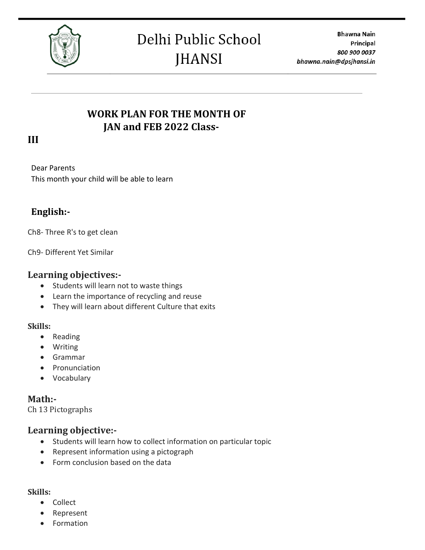

## **WORK PLAN FOR THE MONTH OF JAN and FEB 2022 Class-**

### **III**

Dear Parents This month your child will be able to learn

## **English:-**

Ch8- Three R's to get clean

Ch9- Different Yet Similar

#### **Learning objectives:-**

- Students will learn not to waste things
- Learn the importance of recycling and reuse
- They will learn about different Culture that exits

#### **Skills:**

- Reading
- Writing
- Grammar
- Pronunciation
- Vocabulary

#### **Math:-**

Ch 13 Pictographs

#### **Learning objective:-**

- Students will learn how to collect information on particular topic
- Represent information using a pictograph
- Form conclusion based on the data

## **Skills:**

- Collect
- Represent
- Formation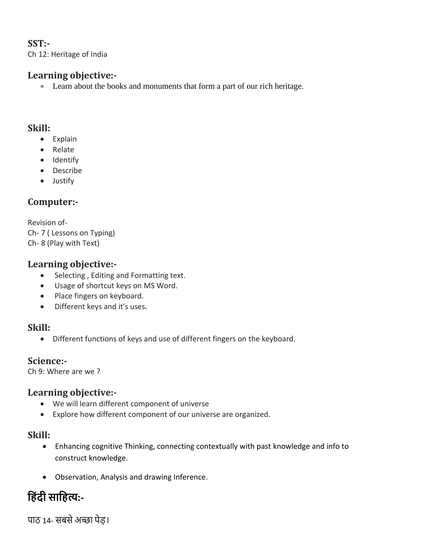## **SST:-**

Ch 12: Heritage of India

### **Learning objective:-**

• Learn about the books and monuments that form a part of our rich heritage.

#### **Skill:**

- Explain
- Relate
- Identify
- Describe
- Justify

## **Computer:-**

Revision of-Ch- 7 ( Lessons on Typing) Ch- 8 (Play with Text)

#### **Learning objective:-**

- Selecting , Editing and Formatting text.
- Usage of shortcut keys on MS Word.
- Place fingers on keyboard.
- Different keys and it's uses.

#### **Skill:**

• Different functions of keys and use of different fingers on the keyboard.

#### **Science:-**

Ch 9: Where are we ?

#### **Learning objective:-**

- We will learn different component of universe
- Explore how different component of our universe are organized.

#### **Skill:**

- Enhancing cognitive Thinking, connecting contextually with past knowledge and info to construct knowledge.
- Observation, Analysis and drawing Inference.

# **ह िंदी साह त्य:-**

पाठ 14- सबसे अच्छा पेड़।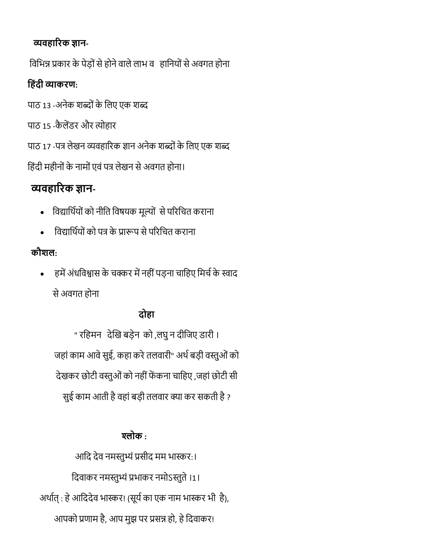# **व्यव ारिक ज्ञान-**

विभिन्न प्रकार के पेड़ों से होने वाले लाभ वजहानियों से अवगत होना

# **ह िंदी व्याकिण:**

पाठ 13 -अनेक शब्दों के लिए एक शब्द

पाठ 15 -कैलेंडर और त्योहार

पाठ 17 -पत्र लेखन व्यवहारिक ज्ञान अनेक शब्दों के लिए एक शब्द

हिंदी महीनों के नामों एवं पत्र लेखन से अवगत होना।

# **व्यव ारिक ज्ञान-**

- विद्यार्थियों को नीति विषयक मूल्यों से परिचित कराना
- विद्यार्थियों को पत्र के प्रारूप से परिचित कराना

# **कौशल:**

हमें अंधविश्वास के चक्कर में नहीं पड़ना चाहिए मिर्च के स्वाद से अवगत होना

# <u>दोहा</u>

" रहिमन) देखि बड़ेन को ,लघु न दीजिए डारी । जहां काम आवे सुई, कहा करे तलवारी" अर्थ बड़ी वस्तुओं को देखकर छोटी वस्तुओं को नहीं फेंकना चाहिए ,जहां छोटी सी सुई काम आती है वहां बड़ी तलवार क्या कर सकती है ?

# **श्लोक :**

आदि देव नमस्तुभ्यं प्रसीद मम भास्कर:। दिवाकर नमस्तुभ्यं प्रभाकर नमोऽस्तुते ।1। अर्थात् : हे आदिदेव भास्कर! (सूर्य का एक नाम भास्कर भी है), आपको प्रणाम है, आप मुझ पर प्रसन्न हो, हे दिवाकर!